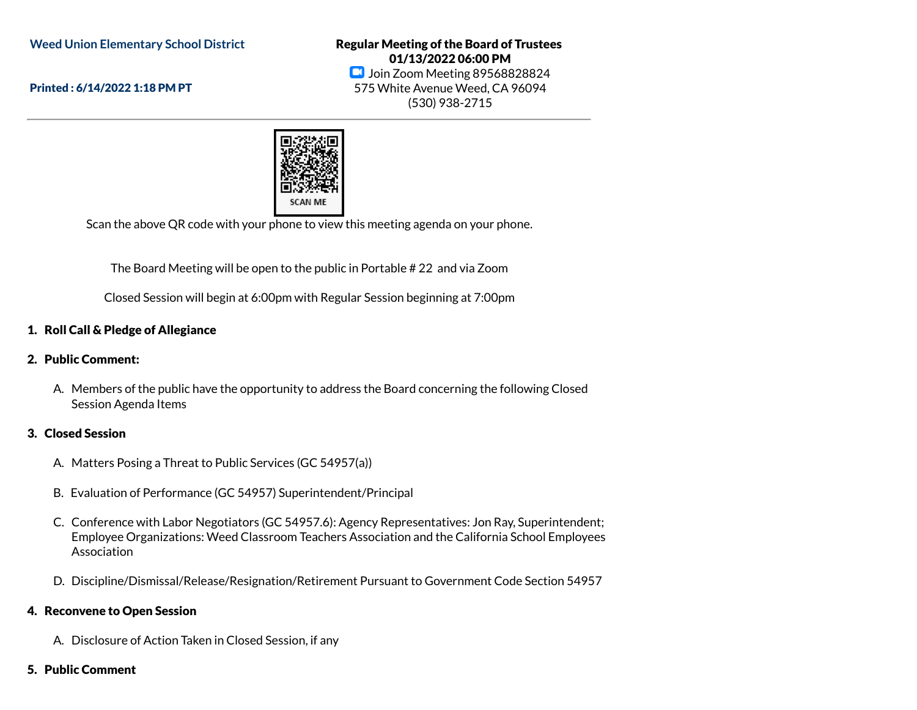**Weed Union Elementary School District**

Printed : 6/14/2022 1:18 PM PT

Regular Meeting of the Board of Trustees 01/13/2022 06:00 PM **Join Zoom Meeting 89568828824** 575 White Avenue Weed, CA 96094 (530) 938-2715



Scan the above QR code with your phone to view this meeting agenda on your phone.

The Board Meeting will be open to the public in Portable # 22 and via Zoom

Closed Session will begin at 6:00pm with Regular Session beginning at 7:00pm

### 1. Roll Call & Pledge of Allegiance

#### 2. Public Comment:

A. Members of the public have the opportunity to address the Board concerning the following Closed Session Agenda Items

#### 3. Closed Session

- A. Matters Posing a Threat to Public Services (GC 54957(a))
- B. Evaluation of Performance (GC 54957) Superintendent/Principal
- C. Conference with Labor Negotiators (GC 54957.6): Agency Representatives: Jon Ray, Superintendent; Employee Organizations: Weed Classroom Teachers Association and the California School Employees Association
- D. Discipline/Dismissal/Release/Resignation/Retirement Pursuant to Government Code Section 54957

#### 4. Reconvene to Open Session

- A. Disclosure of Action Taken in Closed Session, if any
- 5. Public Comment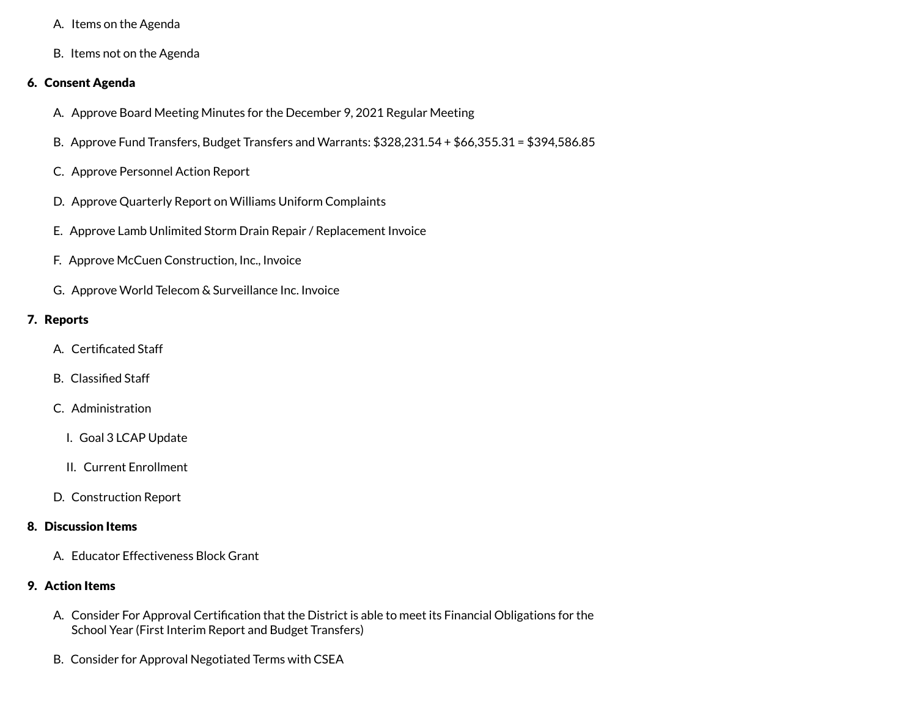- A. Items on the Agenda
- B. Items not on the Agenda

### 6. Consent Agenda

- A. Approve Board Meeting Minutes for the December 9, 2021 Regular Meeting
- B. Approve Fund Transfers, Budget Transfers and Warrants: \$328,231.54 + \$66,355.31 = \$394,586.85
- C. Approve Personnel Action Report
- D. Approve Quarterly Report on Williams Uniform Complaints
- E. Approve Lamb Unlimited Storm Drain Repair / Replacement Invoice
- F. Approve McCuen Construction, Inc., Invoice
- G. Approve World Telecom & Surveillance Inc. Invoice

# 7. Reports

- A. Certificated Staff
- B. Classified Staff
- C. Administration
	- I. Goal 3 LCAP Update
	- II. Current Enrollment
- D. Construction Report

# 8. Discussion Items

A. Educator Effectiveness Block Grant

# 9. Action Items

- A. Consider For Approval Certification that the District is able to meet its Financial Obligations for the School Year (First Interim Report and Budget Transfers)
- B. Consider for Approval Negotiated Terms with CSEA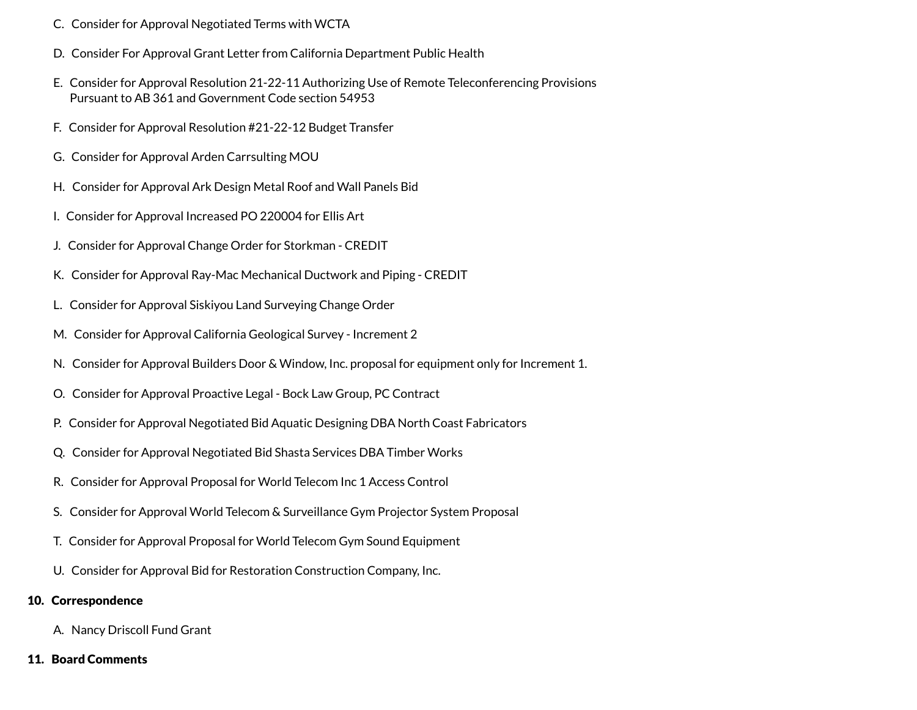- C. Consider for Approval Negotiated Terms with WCTA
- D. Consider For Approval Grant Letter from California Department Public Health
- E. Consider for Approval Resolution 21-22-11 Authorizing Use of Remote Teleconferencing Provisions Pursuant to AB 361 and Government Code section 54953
- F. Consider for Approval Resolution #21-22-12 Budget Transfer
- G. Consider for Approval Arden Carrsulting MOU
- H. Consider for Approval Ark Design Metal Roof and Wall Panels Bid
- I. Consider for Approval Increased PO 220004 for Ellis Art
- J. Consider for Approval Change Order for Storkman CREDIT
- K. Consider for Approval Ray-Mac Mechanical Ductwork and Piping CREDIT
- L. Consider for Approval Siskiyou Land Surveying Change Order
- M. Consider for Approval California Geological Survey Increment 2
- N. Consider for Approval Builders Door & Window, Inc. proposal for equipment only for Increment 1.
- O. Consider for Approval Proactive Legal Bock Law Group, PC Contract
- P. Consider for Approval Negotiated Bid Aquatic Designing DBA North Coast Fabricators
- Q. Consider for Approval Negotiated Bid Shasta Services DBA Timber Works
- R. Consider for Approval Proposal for World Telecom Inc 1 Access Control
- S. Consider for Approval World Telecom & Surveillance Gym Projector System Proposal
- T. Consider for Approval Proposal for World Telecom Gym Sound Equipment
- U. Consider for Approval Bid for Restoration Construction Company, Inc.

#### 10. Correspondence

A. Nancy Driscoll Fund Grant

#### 11. Board Comments